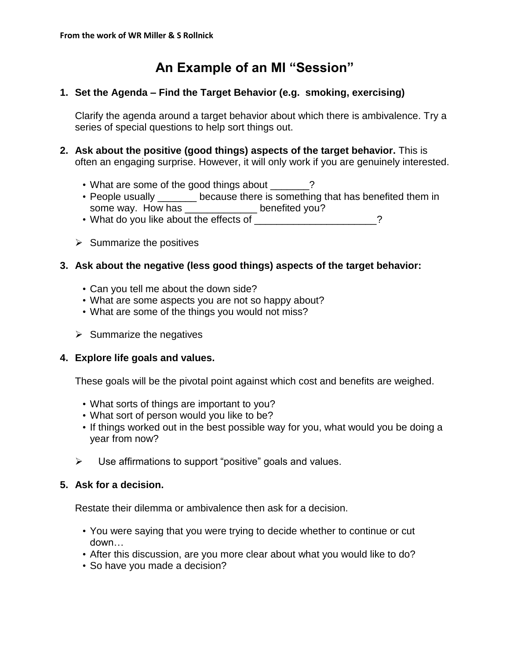# **An Example of an MI "Session"**

# **1. Set the Agenda – Find the Target Behavior (e.g. smoking, exercising)**

Clarify the agenda around a target behavior about which there is ambivalence. Try a series of special questions to help sort things out.

- **2. Ask about the positive (good things) aspects of the target behavior.** This is often an engaging surprise. However, it will only work if you are genuinely interested.
	- What are some of the good things about \_\_\_\_\_?
	- People usually \_\_\_\_\_\_\_ because there is something that has benefited them in some way. How has \_\_\_\_\_\_\_\_\_\_\_\_\_ benefited you?
	- What do you like about the effects of  $\sim$
	- $\triangleright$  Summarize the positives

## **3. Ask about the negative (less good things) aspects of the target behavior:**

- Can you tell me about the down side?
- What are some aspects you are not so happy about?
- What are some of the things you would not miss?
- $\triangleright$  Summarize the negatives

# **4. Explore life goals and values.**

These goals will be the pivotal point against which cost and benefits are weighed.

- What sorts of things are important to you?
- What sort of person would you like to be?
- If things worked out in the best possible way for you, what would you be doing a year from now?
- $\triangleright$  Use affirmations to support "positive" goals and values.

#### **5. Ask for a decision.**

Restate their dilemma or ambivalence then ask for a decision.

- You were saying that you were trying to decide whether to continue or cut down…
- After this discussion, are you more clear about what you would like to do?
- So have you made a decision?